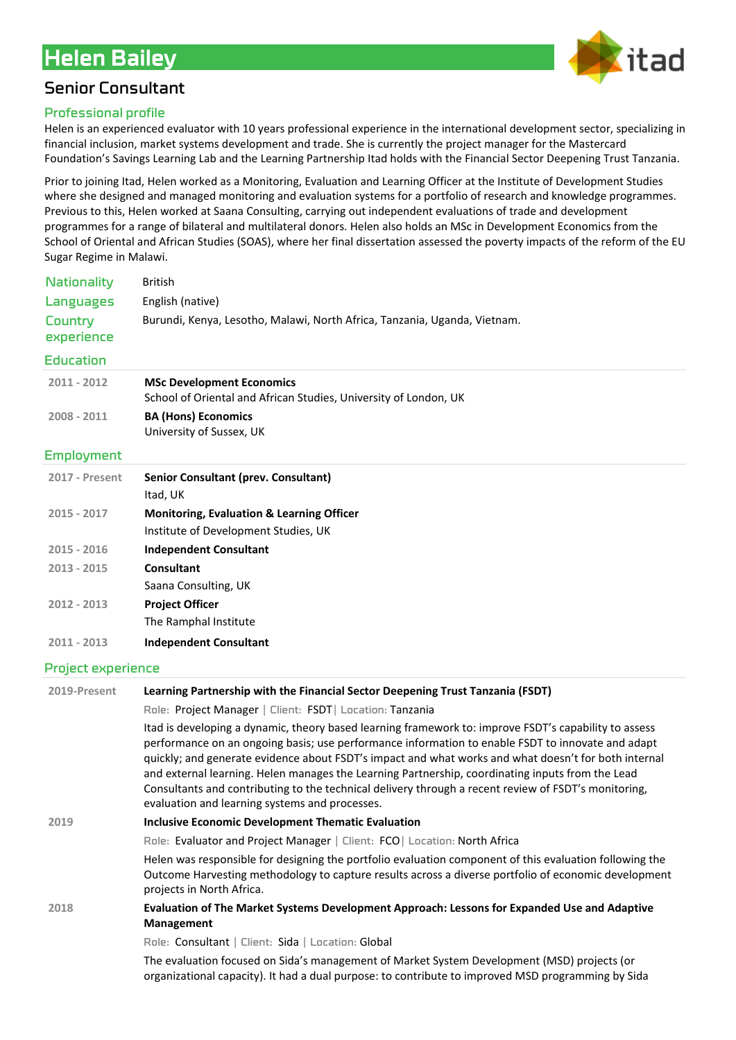# Helen Bailey



## Senior Consultant

#### Professional profile

Helen is an experienced evaluator with 10 years professional experience in the international development sector, specializing in financial inclusion, market systems development and trade. She is currently the project manager for the Mastercard Foundation's Savings Learning Lab and the Learning Partnership Itad holds with the Financial Sector Deepening Trust Tanzania.

Prior to joining Itad, Helen worked as a Monitoring, Evaluation and Learning Officer at the Institute of Development Studies where she designed and managed monitoring and evaluation systems for a portfolio of research and knowledge programmes. Previous to this, Helen worked at Saana Consulting, carrying out independent evaluations of trade and development programmes for a range of bilateral and multilateral donors. Helen also holds an MSc in Development Economics from the School of Oriental and African Studies (SOAS), where her final dissertation assessed the poverty impacts of the reform of the EU Sugar Regime in Malawi.

| <b>Nationality</b>    | British                                                                   |
|-----------------------|---------------------------------------------------------------------------|
| Languages             | English (native)                                                          |
| Country<br>experience | Burundi, Kenya, Lesotho, Malawi, North Africa, Tanzania, Uganda, Vietnam. |
|                       |                                                                           |

#### Education

| $2011 - 2012$ | <b>MSc Development Economics</b>                                 |
|---------------|------------------------------------------------------------------|
|               | School of Oriental and African Studies, University of London, UK |
| 2008 - 2011   | <b>BA (Hons) Economics</b>                                       |

University of Sussex, UK

#### Employment

| <b>2017 - Present</b> | <b>Senior Consultant (prev. Consultant)</b>          |
|-----------------------|------------------------------------------------------|
|                       | Itad, UK                                             |
| $2015 - 2017$         | <b>Monitoring, Evaluation &amp; Learning Officer</b> |
|                       | Institute of Development Studies, UK                 |
| $2015 - 2016$         | <b>Independent Consultant</b>                        |
| 2013 - 2015           | Consultant                                           |
|                       | Saana Consulting, UK                                 |
| $2012 - 2013$         | <b>Project Officer</b>                               |
|                       | The Ramphal Institute                                |
| 2011 - 2013           | <b>Independent Consultant</b>                        |

#### Project experience

| 2019-Present | Learning Partnership with the Financial Sector Deepening Trust Tanzania (FSDT)                                                                                                                                                                                                                                                                                                                                                                                                                                                                                                   |
|--------------|----------------------------------------------------------------------------------------------------------------------------------------------------------------------------------------------------------------------------------------------------------------------------------------------------------------------------------------------------------------------------------------------------------------------------------------------------------------------------------------------------------------------------------------------------------------------------------|
|              | Role: Project Manager   Client: FSDT   Location: Tanzania                                                                                                                                                                                                                                                                                                                                                                                                                                                                                                                        |
|              | Itad is developing a dynamic, theory based learning framework to: improve FSDT's capability to assess<br>performance on an ongoing basis; use performance information to enable FSDT to innovate and adapt<br>quickly; and generate evidence about FSDT's impact and what works and what doesn't for both internal<br>and external learning. Helen manages the Learning Partnership, coordinating inputs from the Lead<br>Consultants and contributing to the technical delivery through a recent review of FSDT's monitoring,<br>evaluation and learning systems and processes. |
| 2019         | <b>Inclusive Economic Development Thematic Evaluation</b>                                                                                                                                                                                                                                                                                                                                                                                                                                                                                                                        |
|              | Role: Evaluator and Project Manager   Client: FCO   Location: North Africa                                                                                                                                                                                                                                                                                                                                                                                                                                                                                                       |
|              | Helen was responsible for designing the portfolio evaluation component of this evaluation following the<br>Outcome Harvesting methodology to capture results across a diverse portfolio of economic development<br>projects in North Africa.                                                                                                                                                                                                                                                                                                                                     |
| 2018         | Evaluation of The Market Systems Development Approach: Lessons for Expanded Use and Adaptive<br>Management                                                                                                                                                                                                                                                                                                                                                                                                                                                                       |
|              | Role: Consultant   Client: Sida   Location: Global                                                                                                                                                                                                                                                                                                                                                                                                                                                                                                                               |
|              | The evaluation focused on Sida's management of Market System Development (MSD) projects (or<br>organizational capacity). It had a dual purpose: to contribute to improved MSD programming by Sida                                                                                                                                                                                                                                                                                                                                                                                |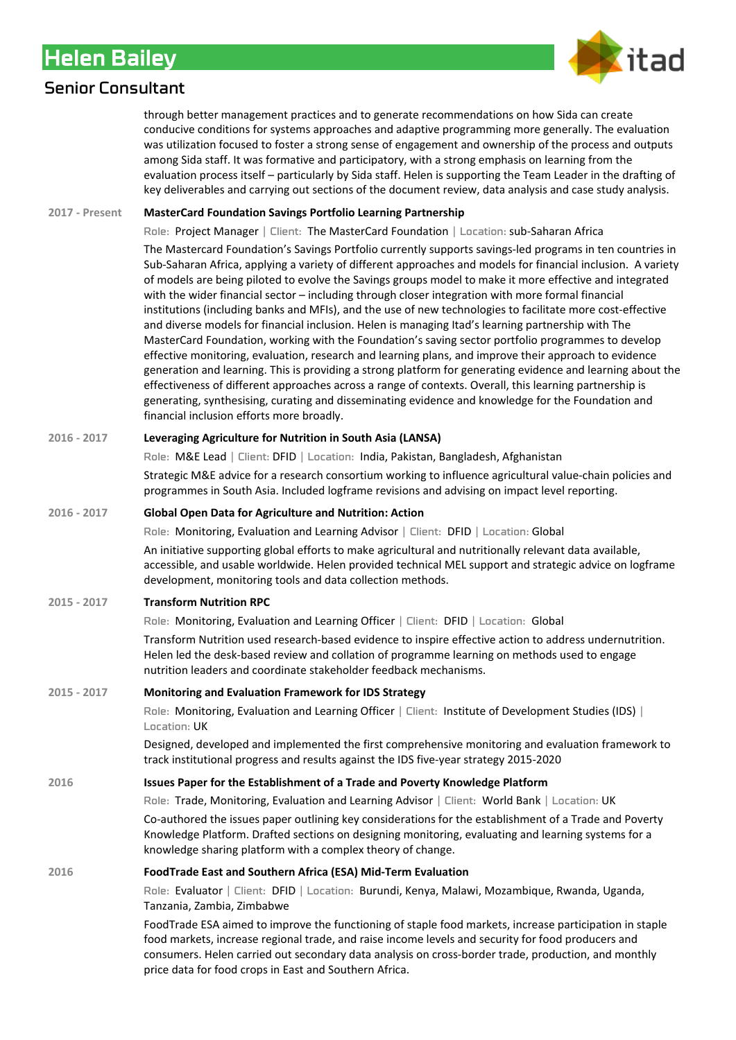## Helen Bailey



### Senior Consultant

through better management practices and to generate recommendations on how Sida can create conducive conditions for systems approaches and adaptive programming more generally. The evaluation was utilization focused to foster a strong sense of engagement and ownership of the process and outputs among Sida staff. It was formative and participatory, with a strong emphasis on learning from the evaluation process itself – particularly by Sida staff. Helen is supporting the Team Leader in the drafting of key deliverables and carrying out sections of the document review, data analysis and case study analysis.

#### **2017 - Present MasterCard Foundation Savings Portfolio Learning Partnership**

Role: Project Manager | Client: The MasterCard Foundation | Location: sub-Saharan Africa

The Mastercard Foundation's Savings Portfolio currently supports savings-led programs in ten countries in Sub-Saharan Africa, applying a variety of different approaches and models for financial inclusion. A variety of models are being piloted to evolve the Savings groups model to make it more effective and integrated with the wider financial sector – including through closer integration with more formal financial institutions (including banks and MFIs), and the use of new technologies to facilitate more cost-effective and diverse models for financial inclusion. Helen is managing Itad's learning partnership with The MasterCard Foundation, working with the Foundation's saving sector portfolio programmes to develop effective monitoring, evaluation, research and learning plans, and improve their approach to evidence generation and learning. This is providing a strong platform for generating evidence and learning about the effectiveness of different approaches across a range of contexts. Overall, this learning partnership is generating, synthesising, curating and disseminating evidence and knowledge for the Foundation and financial inclusion efforts more broadly.

#### **2016 - 2017 Leveraging Agriculture for Nutrition in South Asia (LANSA)**

Role: M&E Lead | Client: DFID | Location: India, Pakistan, Bangladesh, Afghanistan

Strategic M&E advice for a research consortium working to influence agricultural value-chain policies and programmes in South Asia. Included logframe revisions and advising on impact level reporting.

#### **2016 - 2017 Global Open Data for Agriculture and Nutrition: Action**

Role: Monitoring, Evaluation and Learning Advisor | Client: DFID | Location: Global

An initiative supporting global efforts to make agricultural and nutritionally relevant data available, accessible, and usable worldwide. Helen provided technical MEL support and strategic advice on logframe development, monitoring tools and data collection methods.

#### **2015 - 2017 Transform Nutrition RPC**

Role: Monitoring, Evaluation and Learning Officer | Client: DFID | Location: Global

Transform Nutrition used research-based evidence to inspire effective action to address undernutrition. Helen led the desk-based review and collation of programme learning on methods used to engage nutrition leaders and coordinate stakeholder feedback mechanisms.

#### **2015 - 2017 Monitoring and Evaluation Framework for IDS Strategy**

Role: Monitoring, Evaluation and Learning Officer | Client: Institute of Development Studies (IDS) | Location: UK

Designed, developed and implemented the first comprehensive monitoring and evaluation framework to track institutional progress and results against the IDS five-year strategy 2015-2020

#### **2016 Issues Paper for the Establishment of a Trade and Poverty Knowledge Platform**

Role: Trade, Monitoring, Evaluation and Learning Advisor | Client: World Bank | Location: UK

Co-authored the issues paper outlining key considerations for the establishment of a Trade and Poverty Knowledge Platform. Drafted sections on designing monitoring, evaluating and learning systems for a knowledge sharing platform with a complex theory of change.

#### **2016 FoodTrade East and Southern Africa (ESA) Mid-Term Evaluation**

Role: Evaluator | Client: DFID | Location: Burundi, Kenya, Malawi, Mozambique, Rwanda, Uganda, Tanzania, Zambia, Zimbabwe

FoodTrade ESA aimed to improve the functioning of staple food markets, increase participation in staple food markets, increase regional trade, and raise income levels and security for food producers and consumers. Helen carried out secondary data analysis on cross-border trade, production, and monthly price data for food crops in East and Southern Africa.